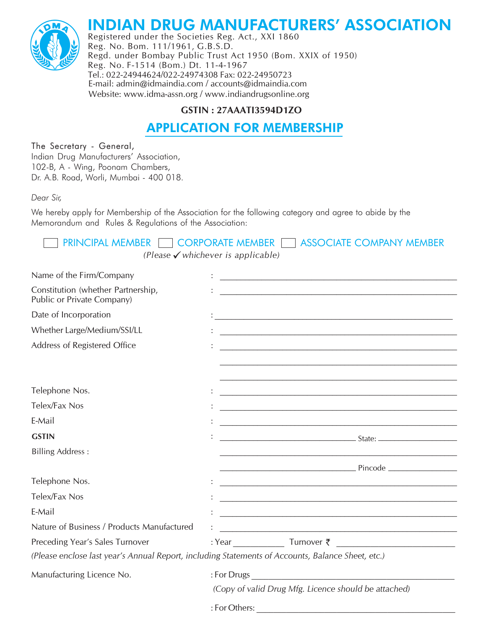



Registered under the Societies Reg. Act., XXI 1860 Reg. No. Bom. 111/1961, G.B.S.D. Regd. under Bombay Public Trust Act 1950 (Bom. XXIX of 1950) Reg. No. F-1514 (Bom.) Dt. 11-4-1967 Tel.: 022-24944624/022-24974308 Fax: 022-24950723 E-mail: admin@idmaindia.com / accounts@idmaindia.com Website: www.idma-assn.org / www.indiandrugsonline.org

# GSTIN: 27AAATI3594D1ZO

# **APPLICATION FOR MEMBERSHIP**

# The Secretary - General,

Indian Drug Manufacturers' Association, 102-B, A - Wing, Poonam Chambers, Dr. A.B. Road, Worli, Mumbai - 400 018.

Dear Sir.

 $\mathbb{Z}^{\mathbb{Z}}$  .

**Contract Contract** 

We hereby apply for Membership of the Association for the following category and agree to abide by the Memorandum and Rules & Regulations of the Association:

| <b>THE PRINCIPAL MEMBER THE CORPORATE MEMBER THE ASSOCIATE COMPANY MEMBER</b> |
|-------------------------------------------------------------------------------|
| (Please $\checkmark$ whichever is applicable)                                 |

| Name of the Firm/Company                                                                          |                                                      |                                                                                                                                                                                                                                      |  |
|---------------------------------------------------------------------------------------------------|------------------------------------------------------|--------------------------------------------------------------------------------------------------------------------------------------------------------------------------------------------------------------------------------------|--|
| Constitution (whether Partnership,<br>Public or Private Company)                                  |                                                      |                                                                                                                                                                                                                                      |  |
| Date of Incorporation                                                                             |                                                      |                                                                                                                                                                                                                                      |  |
| Whether Large/Medium/SSI/LL                                                                       |                                                      |                                                                                                                                                                                                                                      |  |
| Address of Registered Office                                                                      |                                                      |                                                                                                                                                                                                                                      |  |
|                                                                                                   |                                                      |                                                                                                                                                                                                                                      |  |
|                                                                                                   |                                                      | <u> 1989 - Johann Stoff, amerikansk politiker (d. 1989)</u>                                                                                                                                                                          |  |
| Telephone Nos.                                                                                    |                                                      |                                                                                                                                                                                                                                      |  |
| Telex/Fax Nos                                                                                     |                                                      |                                                                                                                                                                                                                                      |  |
| E-Mail                                                                                            |                                                      |                                                                                                                                                                                                                                      |  |
| <b>GSTIN</b>                                                                                      |                                                      | <u> State: 2000 - 2000 - 2000 - 2000 - 2000 - 2000 - 2000 - 2000 - 2000 - 2000 - 2000 - 2000 - 2000 - 2000 - 2000 - 2000 - 2000 - 2000 - 2000 - 2000 - 2000 - 2000 - 2000 - 2000 - 2000 - 2000 - 2000 - 2000 - 2000 - 2000 - 200</u> |  |
| <b>Billing Address:</b>                                                                           |                                                      |                                                                                                                                                                                                                                      |  |
|                                                                                                   |                                                      |                                                                                                                                                                                                                                      |  |
| Telephone Nos.                                                                                    |                                                      |                                                                                                                                                                                                                                      |  |
| Telex/Fax Nos                                                                                     |                                                      |                                                                                                                                                                                                                                      |  |
| E-Mail                                                                                            |                                                      |                                                                                                                                                                                                                                      |  |
| Nature of Business / Products Manufactured                                                        |                                                      |                                                                                                                                                                                                                                      |  |
| Preceding Year's Sales Turnover                                                                   |                                                      | $: Year$ Turnover $\bar{\zeta}$                                                                                                                                                                                                      |  |
| (Please enclose last year's Annual Report, including Statements of Accounts, Balance Sheet, etc.) |                                                      |                                                                                                                                                                                                                                      |  |
| Manufacturing Licence No.                                                                         |                                                      |                                                                                                                                                                                                                                      |  |
|                                                                                                   | (Copy of valid Drug Mfg. Licence should be attached) |                                                                                                                                                                                                                                      |  |
|                                                                                                   |                                                      |                                                                                                                                                                                                                                      |  |
|                                                                                                   |                                                      |                                                                                                                                                                                                                                      |  |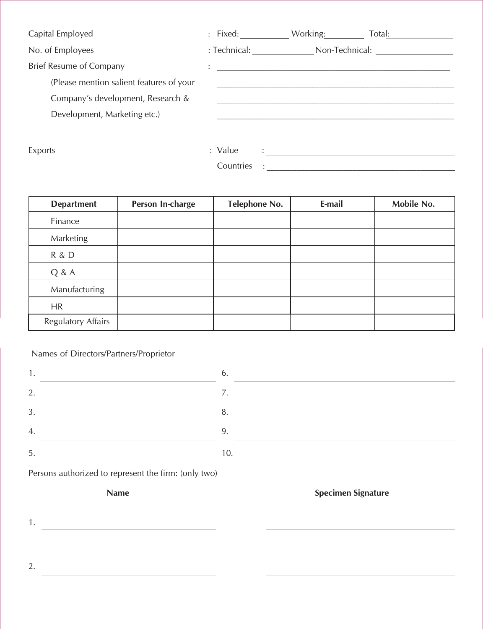Capital Employed

No. of Employees

**Brief Resume of Company** 

(Please mention salient features of your

Company's development, Research &

Development, Marketing etc.)

|                           | : Fixed: Working: Total: |  |
|---------------------------|--------------------------|--|
|                           |                          |  |
| ٠<br>$\ddot{\phantom{0}}$ |                          |  |
|                           |                          |  |
|                           |                          |  |
|                           |                          |  |
|                           |                          |  |
| : Value                   |                          |  |
| Countries                 |                          |  |

Exports

| <b>Department</b>         | Person In-charge | Telephone No. | E-mail | Mobile No. |
|---------------------------|------------------|---------------|--------|------------|
| Finance                   |                  |               |        |            |
| Marketing                 |                  |               |        |            |
| R & D                     |                  |               |        |            |
| Q & A                     |                  |               |        |            |
| Manufacturing             |                  |               |        |            |
| <b>HR</b>                 |                  |               |        |            |
| <b>Regulatory Affairs</b> |                  |               |        |            |

## Names of Directors/Partners/Proprietor

| 1                |  |
|------------------|--|
| 2.               |  |
| 3.               |  |
| $\overline{A}$ . |  |
| 5.               |  |

 $\overline{6}$ . 7. <u> 1989 - Johann Barbara, martxa alemaniar amerikan personal (h. 1989).</u> 8. 9. <u> 1989 - Johann Stein, fransk politik (d. 1989)</u> 10. <u> 1980 - Johann John Stein, marwolaeth a bhaile an t-Alban Stein an t-Alban Stein an t-Alban Stein an t-Alban S</u>

Persons authorized to represent the firm: (only two)

**Name** 

**Specimen Signature** 

2.

1.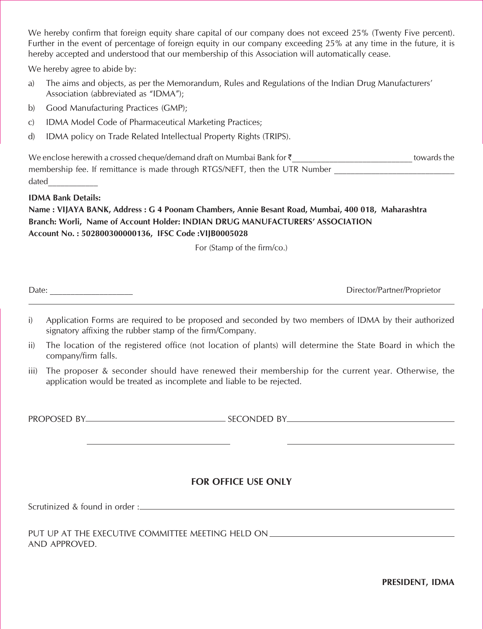Further in the event of percentage of foreign equity in our company exceeding 25% at any time in the future, it is hereby accepted and understood that our membership of this Association will automatically cease. We hereby confirm that foreign equity share capital of our company does not exceed 25% (Twenty Five percent).

 $\frac{1}{\sqrt{3}}$ 

- The aims and objects, as per the Memorandum, Rules and Regulations of the Indian Drug Manufacturers'<br>Association (abbreviated as "IDMA"): We hereby agree to abide by:<br>a) The aims and objects, as per the Memorandum, Rules and Regulations of the Indian Drug Manufacturers' Association (abbreviated as "IDMA"):
- b) Good Manufacturing Practices (GMP);
- c) IDMA Model Code of Pharmaceutical Marketing Practices:
- 2 "TDMA Model Code of Finantiaceducal Marketting Fractices,"<br>d) IDMA policy on Trade Related Intellectual Property Rights (TRIPS). 2 " " IDMA Model Code of Pharmaceutical Marketing Practices;<br>3 A " IDMA policy on Trade Related Intellectual Property Rights (TRIPS).

| d) IDMA policy on Trade Related Intellectual Property Rights (TRIPS).          |             |
|--------------------------------------------------------------------------------|-------------|
| We enclose herewith a crossed cheque/demand draft on Mumbai Bank for $\bar{z}$ | towards the |
| membership fee. If remittance is made through RTGS/NEFT, then the UTR Number   |             |
| dated                                                                          |             |

#### **IDMA Bank Details:**

**Name : VIJAYA BANK, Address : G 4 Poonam Chambers, Annie Besant Road, Mumbai, 400 018, Maharashtra Branch: Worli, Name of Account Holder: INDIAN DRUG MANUFACTURERS' ASSOCIATION Account No. : 502800300000136, IFSC Code :VIJB0005028**

For (Stamp of the firm/co.)  $\overline{0}$  (stamp of the mm/co.)

Date: **Director/Partner/Proprietor** 

- i) Application Forms are required to be proposed and seconded by two members of IDMA by their authorized signatory affixing the rubber stamp of the firm/Company. 8 ??;820C8>=>A<B0A4 A4@D8A43C>14?A>?>B430=3B42>=3431HCF><4<14AB>5 "1HC748A0DC7>A8I43 Application Forms are required to be proposed and seco
- ii) The location of the registered office (not location of plants) will determine the State Board in which the company/firm falls. 88 )74 ;720 ;<br>20 Carthage - Carthage - Carthage - Carthage - Carthage - Carthage - Carthage - Carthage - Carthage - Carthage The location of the
- iii) The proposer & seconder should have renewed their membership for the current year. Otherwise, the application would be treated as incomplete and liable to be rejected. 888 )74 ?A>?>B4A B42>=34A B7>D;3 70E4 A4=4F43C748A<4<14AB78?5>AC74 2DAA4=C H40A \$C74AF8B4C74 The proposer & seconder should have renewed their membersh

%'\$%\$(. (\$#. %'\$%\$(. (\$#.

# **FOR OFFICE USE ONLY**

Scrutinized & found in order :  $\mathcal{L}=\mathcal{L}(\mathcal{L}+\mathcal{L}+\mathcal{L}+\mathcal{L}+\mathcal{L}+\mathcal{L}+\mathcal{L}+\mathcal{L}+\mathcal{L}+\mathcal{L}+\mathcal{L}+\mathcal{L}+\mathcal{L}+\mathcal{L}+\mathcal{L}+\mathcal{L}+\mathcal{L}+\mathcal{L}+\mathcal{L}+\mathcal{L}+\mathcal{L}+\mathcal{L}+\mathcal{L}+\mathcal{L}+\mathcal{L}+\mathcal{L}+\mathcal{L}+\mathcal{L}+\mathcal{L}+\mathcal{L}+\mathcal{L}+\mathcal{L}+\mathcal{L}+\mathcal{L}+\mathcal{$ 

PUT UP AT THE EXECUTIVE COMMITTEE MEETING HELD ON<br>AND APPROVED. .<br>Put up at the executive committee meeting held on

PRESIDENT, IDMA